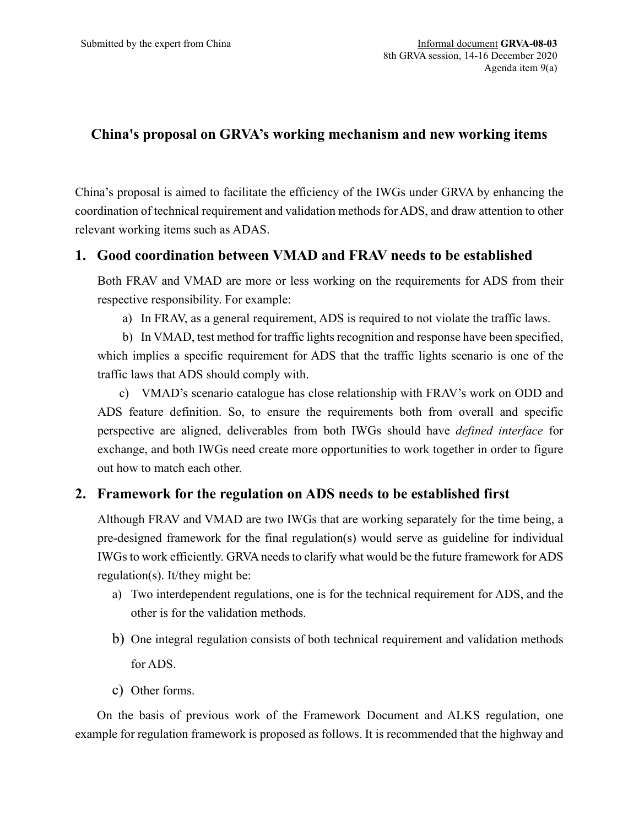## **China's proposal on GRVA's working mechanism and new working items**

China's proposal is aimed to facilitate the efficiency of the IWGs under GRVA by enhancing the coordination of technical requirement and validation methods for ADS, and draw attention to other relevant working items such as ADAS.

## **1. Good coordination between VMAD and FRAV needs to be established**

Both FRAV and VMAD are more or less working on the requirements for ADS from their respective responsibility. For example:

a) In FRAV, as a general requirement, ADS is required to not violate the traffic laws.

b) In VMAD, test method for traffic lights recognition and response have been specified, which implies a specific requirement for ADS that the traffic lights scenario is one of the traffic laws that ADS should comply with.

c) VMAD's scenario catalogue has close relationship with FRAV's work on ODD and ADS feature definition. So, to ensure the requirements both from overall and specific perspective are aligned, deliverables from both IWGs should have *defined interface* for exchange, and both IWGs need create more opportunities to work together in order to figure out how to match each other.

## **2. Framework for the regulation on ADS needs to be established first**

Although FRAV and VMAD are two IWGs that are working separately for the time being, a pre-designed framework for the final regulation(s) would serve as guideline for individual IWGs to work efficiently. GRVA needs to clarify what would be the future framework for ADS regulation(s). It/they might be:

- a) Two interdependent regulations, one is for the technical requirement for ADS, and the other is for the validation methods.
- b) One integral regulation consists of both technical requirement and validation methods for ADS.
- c) Other forms.

On the basis of previous work of the Framework Document and ALKS regulation, one example for regulation framework is proposed as follows. It is recommended that the highway and